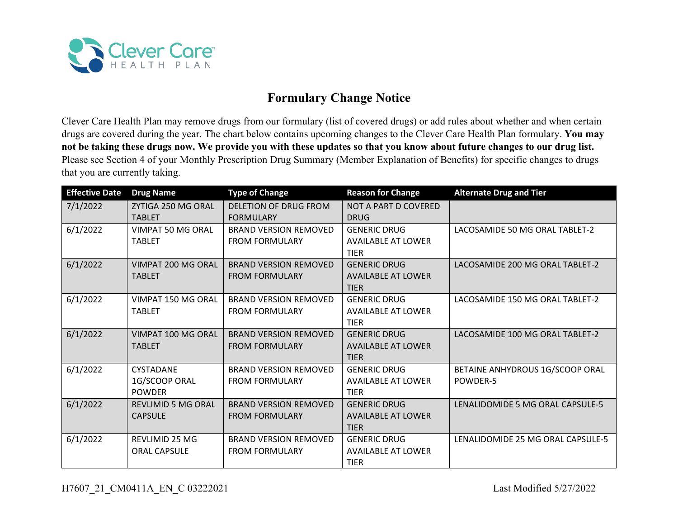

## **Formulary Change Notice**

Clever Care Health Plan may remove drugs from our formulary (list of covered drugs) or add rules about whether and when certain drugs are covered during the year. The chart below contains upcoming changes to the Clever Care Health Plan formulary. **You may not be taking these drugs now. We provide you with these updates so that you know about future changes to our drug list.**  Please see Section 4 of your Monthly Prescription Drug Summary (Member Explanation of Benefits) for specific changes to drugs that you are currently taking.

| <b>Effective Date</b> | <b>Drug Name</b>          | <b>Type of Change</b>        | <b>Reason for Change</b>  | <b>Alternate Drug and Tier</b>    |
|-----------------------|---------------------------|------------------------------|---------------------------|-----------------------------------|
| 7/1/2022              | ZYTIGA 250 MG ORAL        | DELETION OF DRUG FROM        | NOT A PART D COVERED      |                                   |
|                       | <b>TABLET</b>             | <b>FORMULARY</b>             | <b>DRUG</b>               |                                   |
| 6/1/2022              | VIMPAT 50 MG ORAL         | <b>BRAND VERSION REMOVED</b> | <b>GENERIC DRUG</b>       | LACOSAMIDE 50 MG ORAL TABLET-2    |
|                       | <b>TABLET</b>             | <b>FROM FORMULARY</b>        | <b>AVAILABLE AT LOWER</b> |                                   |
|                       |                           |                              | <b>TIER</b>               |                                   |
| 6/1/2022              | VIMPAT 200 MG ORAL        | <b>BRAND VERSION REMOVED</b> | <b>GENERIC DRUG</b>       | LACOSAMIDE 200 MG ORAL TABLET-2   |
|                       | <b>TABLET</b>             | <b>FROM FORMULARY</b>        | <b>AVAILABLE AT LOWER</b> |                                   |
|                       |                           |                              | <b>TIER</b>               |                                   |
| 6/1/2022              | VIMPAT 150 MG ORAL        | <b>BRAND VERSION REMOVED</b> | <b>GENERIC DRUG</b>       | LACOSAMIDE 150 MG ORAL TABLET-2   |
|                       | <b>TABLET</b>             | <b>FROM FORMULARY</b>        | <b>AVAILABLE AT LOWER</b> |                                   |
|                       |                           |                              | <b>TIER</b>               |                                   |
| 6/1/2022              | VIMPAT 100 MG ORAL        | <b>BRAND VERSION REMOVED</b> | <b>GENERIC DRUG</b>       | LACOSAMIDE 100 MG ORAL TABLET-2   |
|                       | <b>TABLET</b>             | <b>FROM FORMULARY</b>        | <b>AVAILABLE AT LOWER</b> |                                   |
|                       |                           |                              | <b>TIER</b>               |                                   |
| 6/1/2022              | <b>CYSTADANE</b>          | <b>BRAND VERSION REMOVED</b> | <b>GENERIC DRUG</b>       | BETAINE ANHYDROUS 1G/SCOOP ORAL   |
|                       | 1G/SCOOP ORAL             | <b>FROM FORMULARY</b>        | <b>AVAILABLE AT LOWER</b> | POWDER-5                          |
|                       | <b>POWDER</b>             |                              | <b>TIER</b>               |                                   |
| 6/1/2022              | <b>REVLIMID 5 MG ORAL</b> | <b>BRAND VERSION REMOVED</b> | <b>GENERIC DRUG</b>       | LENALIDOMIDE 5 MG ORAL CAPSULE-5  |
|                       | <b>CAPSULE</b>            | <b>FROM FORMULARY</b>        | <b>AVAILABLE AT LOWER</b> |                                   |
|                       |                           |                              | <b>TIER</b>               |                                   |
| 6/1/2022              | <b>REVLIMID 25 MG</b>     | <b>BRAND VERSION REMOVED</b> | <b>GENERIC DRUG</b>       | LENALIDOMIDE 25 MG ORAL CAPSULE-5 |
|                       | <b>ORAL CAPSULE</b>       | <b>FROM FORMULARY</b>        | <b>AVAILABLE AT LOWER</b> |                                   |
|                       |                           |                              | <b>TIER</b>               |                                   |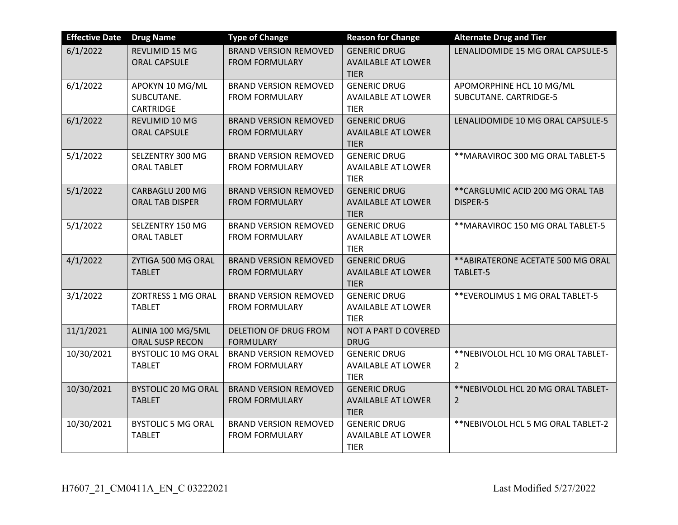| <b>Effective Date</b> | <b>Drug Name</b>                                  | <b>Type of Change</b>                                 | <b>Reason for Change</b>                                        | <b>Alternate Drug and Tier</b>                        |
|-----------------------|---------------------------------------------------|-------------------------------------------------------|-----------------------------------------------------------------|-------------------------------------------------------|
| 6/1/2022              | REVLIMID 15 MG<br><b>ORAL CAPSULE</b>             | <b>BRAND VERSION REMOVED</b><br><b>FROM FORMULARY</b> | <b>GENERIC DRUG</b><br><b>AVAILABLE AT LOWER</b><br><b>TIER</b> | LENALIDOMIDE 15 MG ORAL CAPSULE-5                     |
| 6/1/2022              | APOKYN 10 MG/ML<br>SUBCUTANE.<br><b>CARTRIDGE</b> | <b>BRAND VERSION REMOVED</b><br><b>FROM FORMULARY</b> | <b>GENERIC DRUG</b><br><b>AVAILABLE AT LOWER</b><br><b>TIER</b> | APOMORPHINE HCL 10 MG/ML<br>SUBCUTANE. CARTRIDGE-5    |
| 6/1/2022              | REVLIMID 10 MG<br><b>ORAL CAPSULE</b>             | <b>BRAND VERSION REMOVED</b><br><b>FROM FORMULARY</b> | <b>GENERIC DRUG</b><br><b>AVAILABLE AT LOWER</b><br><b>TIER</b> | LENALIDOMIDE 10 MG ORAL CAPSULE-5                     |
| 5/1/2022              | SELZENTRY 300 MG<br><b>ORAL TABLET</b>            | <b>BRAND VERSION REMOVED</b><br><b>FROM FORMULARY</b> | <b>GENERIC DRUG</b><br><b>AVAILABLE AT LOWER</b><br><b>TIER</b> | ** MARAVIROC 300 MG ORAL TABLET-5                     |
| 5/1/2022              | CARBAGLU 200 MG<br><b>ORAL TAB DISPER</b>         | <b>BRAND VERSION REMOVED</b><br><b>FROM FORMULARY</b> | <b>GENERIC DRUG</b><br><b>AVAILABLE AT LOWER</b><br><b>TIER</b> | ** CARGLUMIC ACID 200 MG ORAL TAB<br>DISPER-5         |
| 5/1/2022              | SELZENTRY 150 MG<br><b>ORAL TABLET</b>            | <b>BRAND VERSION REMOVED</b><br><b>FROM FORMULARY</b> | <b>GENERIC DRUG</b><br><b>AVAILABLE AT LOWER</b><br><b>TIER</b> | ** MARAVIROC 150 MG ORAL TABLET-5                     |
| 4/1/2022              | ZYTIGA 500 MG ORAL<br><b>TABLET</b>               | <b>BRAND VERSION REMOVED</b><br><b>FROM FORMULARY</b> | <b>GENERIC DRUG</b><br><b>AVAILABLE AT LOWER</b><br><b>TIER</b> | ** ABIRATERONE ACETATE 500 MG ORAL<br>TABLET-5        |
| 3/1/2022              | ZORTRESS 1 MG ORAL<br><b>TABLET</b>               | <b>BRAND VERSION REMOVED</b><br><b>FROM FORMULARY</b> | <b>GENERIC DRUG</b><br><b>AVAILABLE AT LOWER</b><br><b>TIER</b> | ** EVEROLIMUS 1 MG ORAL TABLET-5                      |
| 11/1/2021             | ALINIA 100 MG/5ML<br>ORAL SUSP RECON              | DELETION OF DRUG FROM<br><b>FORMULARY</b>             | NOT A PART D COVERED<br>DRUG                                    |                                                       |
| 10/30/2021            | <b>BYSTOLIC 10 MG ORAL</b><br><b>TABLET</b>       | <b>BRAND VERSION REMOVED</b><br><b>FROM FORMULARY</b> | <b>GENERIC DRUG</b><br><b>AVAILABLE AT LOWER</b><br><b>TIER</b> | ** NEBIVOLOL HCL 10 MG ORAL TABLET-<br>$\overline{2}$ |
| 10/30/2021            | <b>BYSTOLIC 20 MG ORAL</b><br><b>TABLET</b>       | <b>BRAND VERSION REMOVED</b><br><b>FROM FORMULARY</b> | <b>GENERIC DRUG</b><br><b>AVAILABLE AT LOWER</b><br><b>TIER</b> | ** NEBIVOLOL HCL 20 MG ORAL TABLET-<br>$\overline{2}$ |
| 10/30/2021            | <b>BYSTOLIC 5 MG ORAL</b><br><b>TABLET</b>        | <b>BRAND VERSION REMOVED</b><br><b>FROM FORMULARY</b> | <b>GENERIC DRUG</b><br><b>AVAILABLE AT LOWER</b><br><b>TIER</b> | ** NEBIVOLOL HCL 5 MG ORAL TABLET-2                   |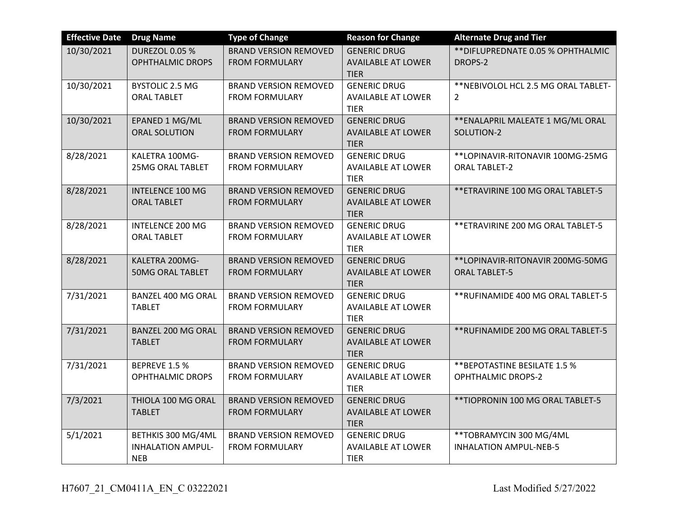| <b>Effective Date</b> | <b>Drug Name</b>                                             | <b>Type of Change</b>                                 | <b>Reason for Change</b>                                        | <b>Alternate Drug and Tier</b>                             |
|-----------------------|--------------------------------------------------------------|-------------------------------------------------------|-----------------------------------------------------------------|------------------------------------------------------------|
| 10/30/2021            | <b>DUREZOL 0.05 %</b><br><b>OPHTHALMIC DROPS</b>             | <b>BRAND VERSION REMOVED</b><br><b>FROM FORMULARY</b> | <b>GENERIC DRUG</b><br><b>AVAILABLE AT LOWER</b><br><b>TIER</b> | ** DIFLUPREDNATE 0.05 % OPHTHALMIC<br>DROPS-2              |
| 10/30/2021            | <b>BYSTOLIC 2.5 MG</b><br><b>ORAL TABLET</b>                 | <b>BRAND VERSION REMOVED</b><br><b>FROM FORMULARY</b> | <b>GENERIC DRUG</b><br><b>AVAILABLE AT LOWER</b><br><b>TIER</b> | ** NEBIVOLOL HCL 2.5 MG ORAL TABLET-<br>$\overline{2}$     |
| 10/30/2021            | EPANED 1 MG/ML<br>ORAL SOLUTION                              | <b>BRAND VERSION REMOVED</b><br><b>FROM FORMULARY</b> | <b>GENERIC DRUG</b><br><b>AVAILABLE AT LOWER</b><br><b>TIER</b> | ** ENALAPRIL MALEATE 1 MG/ML ORAL<br>SOLUTION-2            |
| 8/28/2021             | KALETRA 100MG-<br><b>25MG ORAL TABLET</b>                    | <b>BRAND VERSION REMOVED</b><br><b>FROM FORMULARY</b> | <b>GENERIC DRUG</b><br><b>AVAILABLE AT LOWER</b><br><b>TIER</b> | **LOPINAVIR-RITONAVIR 100MG-25MG<br><b>ORAL TABLET-2</b>   |
| 8/28/2021             | <b>INTELENCE 100 MG</b><br><b>ORAL TABLET</b>                | <b>BRAND VERSION REMOVED</b><br><b>FROM FORMULARY</b> | <b>GENERIC DRUG</b><br><b>AVAILABLE AT LOWER</b><br><b>TIER</b> | ** ETRAVIRINE 100 MG ORAL TABLET-5                         |
| 8/28/2021             | <b>INTELENCE 200 MG</b><br><b>ORAL TABLET</b>                | <b>BRAND VERSION REMOVED</b><br><b>FROM FORMULARY</b> | <b>GENERIC DRUG</b><br><b>AVAILABLE AT LOWER</b><br><b>TIER</b> | ** ETRAVIRINE 200 MG ORAL TABLET-5                         |
| 8/28/2021             | KALETRA 200MG-<br><b>50MG ORAL TABLET</b>                    | <b>BRAND VERSION REMOVED</b><br><b>FROM FORMULARY</b> | <b>GENERIC DRUG</b><br><b>AVAILABLE AT LOWER</b><br><b>TIER</b> | **LOPINAVIR-RITONAVIR 200MG-50MG<br><b>ORAL TABLET-5</b>   |
| 7/31/2021             | <b>BANZEL 400 MG ORAL</b><br><b>TABLET</b>                   | <b>BRAND VERSION REMOVED</b><br><b>FROM FORMULARY</b> | <b>GENERIC DRUG</b><br><b>AVAILABLE AT LOWER</b><br><b>TIER</b> | ** RUFINAMIDE 400 MG ORAL TABLET-5                         |
| 7/31/2021             | <b>BANZEL 200 MG ORAL</b><br><b>TABLET</b>                   | <b>BRAND VERSION REMOVED</b><br><b>FROM FORMULARY</b> | <b>GENERIC DRUG</b><br><b>AVAILABLE AT LOWER</b><br><b>TIER</b> | ** RUFINAMIDE 200 MG ORAL TABLET-5                         |
| 7/31/2021             | <b>BEPREVE 1.5 %</b><br><b>OPHTHALMIC DROPS</b>              | <b>BRAND VERSION REMOVED</b><br><b>FROM FORMULARY</b> | <b>GENERIC DRUG</b><br><b>AVAILABLE AT LOWER</b><br><b>TIER</b> | ** BEPOTASTINE BESILATE 1.5 %<br><b>OPHTHALMIC DROPS-2</b> |
| 7/3/2021              | THIOLA 100 MG ORAL<br><b>TABLET</b>                          | <b>BRAND VERSION REMOVED</b><br><b>FROM FORMULARY</b> | <b>GENERIC DRUG</b><br><b>AVAILABLE AT LOWER</b><br><b>TIER</b> | ** TIOPRONIN 100 MG ORAL TABLET-5                          |
| 5/1/2021              | BETHKIS 300 MG/4ML<br><b>INHALATION AMPUL-</b><br><b>NEB</b> | <b>BRAND VERSION REMOVED</b><br><b>FROM FORMULARY</b> | <b>GENERIC DRUG</b><br><b>AVAILABLE AT LOWER</b><br><b>TIER</b> | **TOBRAMYCIN 300 MG/4ML<br><b>INHALATION AMPUL-NEB-5</b>   |

H7607\_21\_CM0411A\_EN\_C 03222021 Last Modified 5/27/2022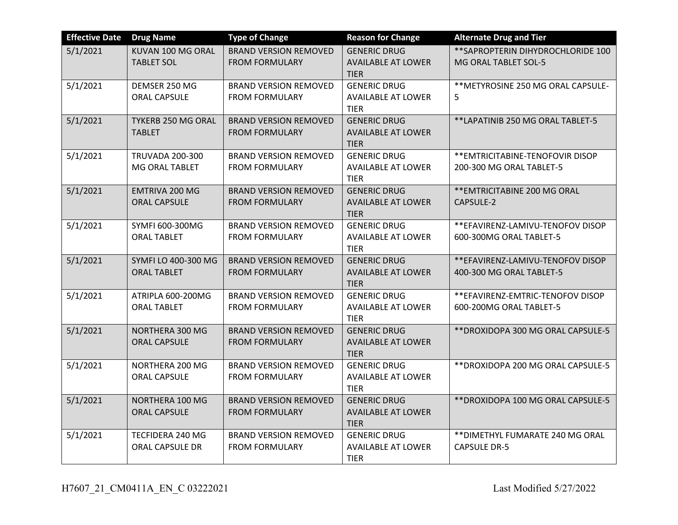| <b>Effective Date</b> | <b>Drug Name</b>                          | <b>Type of Change</b>                                 | <b>Reason for Change</b>                                        | <b>Alternate Drug and Tier</b>                               |
|-----------------------|-------------------------------------------|-------------------------------------------------------|-----------------------------------------------------------------|--------------------------------------------------------------|
| 5/1/2021              | KUVAN 100 MG ORAL<br><b>TABLET SOL</b>    | <b>BRAND VERSION REMOVED</b><br><b>FROM FORMULARY</b> | <b>GENERIC DRUG</b><br><b>AVAILABLE AT LOWER</b><br><b>TIER</b> | ** SAPROPTERIN DIHYDROCHLORIDE 100<br>MG ORAL TABLET SOL-5   |
| 5/1/2021              | DEMSER 250 MG<br><b>ORAL CAPSULE</b>      | <b>BRAND VERSION REMOVED</b><br><b>FROM FORMULARY</b> | <b>GENERIC DRUG</b><br><b>AVAILABLE AT LOWER</b><br><b>TIER</b> | ** METYROSINE 250 MG ORAL CAPSULE-<br>5                      |
| 5/1/2021              | TYKERB 250 MG ORAL<br><b>TABLET</b>       | <b>BRAND VERSION REMOVED</b><br><b>FROM FORMULARY</b> | <b>GENERIC DRUG</b><br><b>AVAILABLE AT LOWER</b><br><b>TIER</b> | **LAPATINIB 250 MG ORAL TABLET-5                             |
| 5/1/2021              | <b>TRUVADA 200-300</b><br>MG ORAL TABLET  | <b>BRAND VERSION REMOVED</b><br><b>FROM FORMULARY</b> | <b>GENERIC DRUG</b><br><b>AVAILABLE AT LOWER</b><br><b>TIER</b> | ** EMTRICITABINE-TENOFOVIR DISOP<br>200-300 MG ORAL TABLET-5 |
| 5/1/2021              | EMTRIVA 200 MG<br><b>ORAL CAPSULE</b>     | <b>BRAND VERSION REMOVED</b><br><b>FROM FORMULARY</b> | <b>GENERIC DRUG</b><br><b>AVAILABLE AT LOWER</b><br><b>TIER</b> | ** EMTRICITABINE 200 MG ORAL<br>CAPSULE-2                    |
| 5/1/2021              | SYMFI 600-300MG<br><b>ORAL TABLET</b>     | <b>BRAND VERSION REMOVED</b><br><b>FROM FORMULARY</b> | <b>GENERIC DRUG</b><br><b>AVAILABLE AT LOWER</b><br><b>TIER</b> | ** EFAVIRENZ-LAMIVU-TENOFOV DISOP<br>600-300MG ORAL TABLET-5 |
| 5/1/2021              | SYMFI LO 400-300 MG<br><b>ORAL TABLET</b> | <b>BRAND VERSION REMOVED</b><br><b>FROM FORMULARY</b> | <b>GENERIC DRUG</b><br><b>AVAILABLE AT LOWER</b><br><b>TIER</b> | **EFAVIRENZ-LAMIVU-TENOFOV DISOP<br>400-300 MG ORAL TABLET-5 |
| 5/1/2021              | ATRIPLA 600-200MG<br><b>ORAL TABLET</b>   | <b>BRAND VERSION REMOVED</b><br><b>FROM FORMULARY</b> | <b>GENERIC DRUG</b><br><b>AVAILABLE AT LOWER</b><br><b>TIER</b> | ** EFAVIRENZ-EMTRIC-TENOFOV DISOP<br>600-200MG ORAL TABLET-5 |
| 5/1/2021              | NORTHERA 300 MG<br><b>ORAL CAPSULE</b>    | <b>BRAND VERSION REMOVED</b><br><b>FROM FORMULARY</b> | <b>GENERIC DRUG</b><br><b>AVAILABLE AT LOWER</b><br><b>TIER</b> | ** DROXIDOPA 300 MG ORAL CAPSULE-5                           |
| 5/1/2021              | NORTHERA 200 MG<br><b>ORAL CAPSULE</b>    | <b>BRAND VERSION REMOVED</b><br><b>FROM FORMULARY</b> | <b>GENERIC DRUG</b><br><b>AVAILABLE AT LOWER</b><br><b>TIER</b> | ** DROXIDOPA 200 MG ORAL CAPSULE-5                           |
| 5/1/2021              | NORTHERA 100 MG<br><b>ORAL CAPSULE</b>    | <b>BRAND VERSION REMOVED</b><br><b>FROM FORMULARY</b> | <b>GENERIC DRUG</b><br><b>AVAILABLE AT LOWER</b><br><b>TIER</b> | ** DROXIDOPA 100 MG ORAL CAPSULE-5                           |
| 5/1/2021              | TECFIDERA 240 MG<br>ORAL CAPSULE DR       | <b>BRAND VERSION REMOVED</b><br><b>FROM FORMULARY</b> | <b>GENERIC DRUG</b><br><b>AVAILABLE AT LOWER</b><br><b>TIER</b> | ** DIMETHYL FUMARATE 240 MG ORAL<br><b>CAPSULE DR-5</b>      |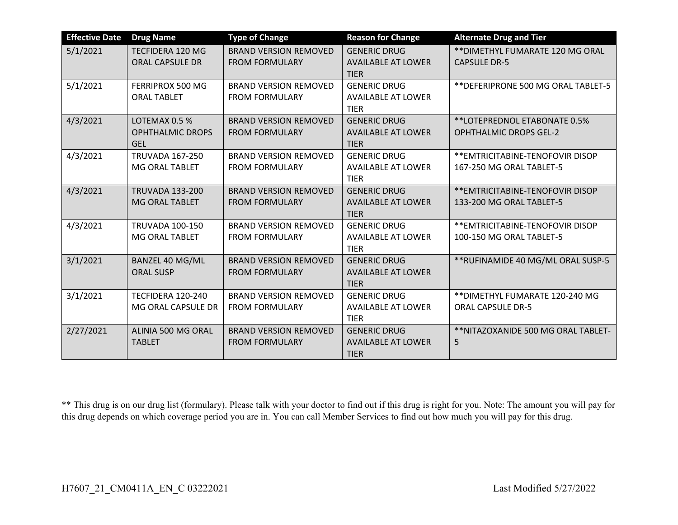| <b>Effective Date</b> | <b>Drug Name</b>                      | <b>Type of Change</b>        | <b>Reason for Change</b>                 | <b>Alternate Drug and Tier</b>      |
|-----------------------|---------------------------------------|------------------------------|------------------------------------------|-------------------------------------|
| 5/1/2021              | TECFIDERA 120 MG                      | <b>BRAND VERSION REMOVED</b> | <b>GENERIC DRUG</b>                      | ** DIMETHYL FUMARATE 120 MG ORAL    |
|                       | <b>ORAL CAPSULE DR</b>                | <b>FROM FORMULARY</b>        | <b>AVAILABLE AT LOWER</b><br><b>TIER</b> | <b>CAPSULE DR-5</b>                 |
| 5/1/2021              | FERRIPROX 500 MG                      | <b>BRAND VERSION REMOVED</b> | <b>GENERIC DRUG</b>                      | ** DEFERIPRONE 500 MG ORAL TABLET-5 |
|                       | <b>ORAL TABLET</b>                    | <b>FROM FORMULARY</b>        | <b>AVAILABLE AT LOWER</b><br><b>TIER</b> |                                     |
| 4/3/2021              | LOTEMAX 0.5 %                         | <b>BRAND VERSION REMOVED</b> | <b>GENERIC DRUG</b>                      | **LOTEPREDNOL ETABONATE 0.5%        |
|                       | <b>OPHTHALMIC DROPS</b><br><b>GEL</b> | <b>FROM FORMULARY</b>        | <b>AVAILABLE AT LOWER</b><br><b>TIER</b> | <b>OPHTHALMIC DROPS GEL-2</b>       |
| 4/3/2021              | <b>TRUVADA 167-250</b>                | <b>BRAND VERSION REMOVED</b> | <b>GENERIC DRUG</b>                      | ** EMTRICITABINE-TENOFOVIR DISOP    |
|                       | MG ORAL TABLET                        | <b>FROM FORMULARY</b>        | <b>AVAILABLE AT LOWER</b><br><b>TIER</b> | 167-250 MG ORAL TABLET-5            |
| 4/3/2021              | <b>TRUVADA 133-200</b>                | <b>BRAND VERSION REMOVED</b> | <b>GENERIC DRUG</b>                      | ** EMTRICITABINE-TENOFOVIR DISOP    |
|                       | MG ORAL TABLET                        | <b>FROM FORMULARY</b>        | <b>AVAILABLE AT LOWER</b><br><b>TIER</b> | 133-200 MG ORAL TABLET-5            |
| 4/3/2021              | <b>TRUVADA 100-150</b>                | <b>BRAND VERSION REMOVED</b> | <b>GENERIC DRUG</b>                      | ** EMTRICITABINE-TENOFOVIR DISOP    |
|                       | MG ORAL TABLET                        | <b>FROM FORMULARY</b>        | <b>AVAILABLE AT LOWER</b><br><b>TIER</b> | 100-150 MG ORAL TABLET-5            |
| 3/1/2021              | <b>BANZEL 40 MG/ML</b>                | <b>BRAND VERSION REMOVED</b> | <b>GENERIC DRUG</b>                      | ** RUFINAMIDE 40 MG/ML ORAL SUSP-5  |
|                       | <b>ORAL SUSP</b>                      | <b>FROM FORMULARY</b>        | <b>AVAILABLE AT LOWER</b><br><b>TIER</b> |                                     |
| 3/1/2021              | TECFIDERA 120-240                     | <b>BRAND VERSION REMOVED</b> | <b>GENERIC DRUG</b>                      | ** DIMETHYL FUMARATE 120-240 MG     |
|                       | MG ORAL CAPSULE DR                    | <b>FROM FORMULARY</b>        | <b>AVAILABLE AT LOWER</b><br><b>TIER</b> | <b>ORAL CAPSULE DR-5</b>            |
| 2/27/2021             | ALINIA 500 MG ORAL                    | <b>BRAND VERSION REMOVED</b> | <b>GENERIC DRUG</b>                      | ** NITAZOXANIDE 500 MG ORAL TABLET- |
|                       | <b>TABLET</b>                         | <b>FROM FORMULARY</b>        | <b>AVAILABLE AT LOWER</b>                | 5                                   |
|                       |                                       |                              | <b>TIER</b>                              |                                     |

\*\* This drug is on our drug list (formulary). Please talk with your doctor to find out if this drug is right for you. Note: The amount you will pay for this drug depends on which coverage period you are in. You can call Member Services to find out how much you will pay for this drug.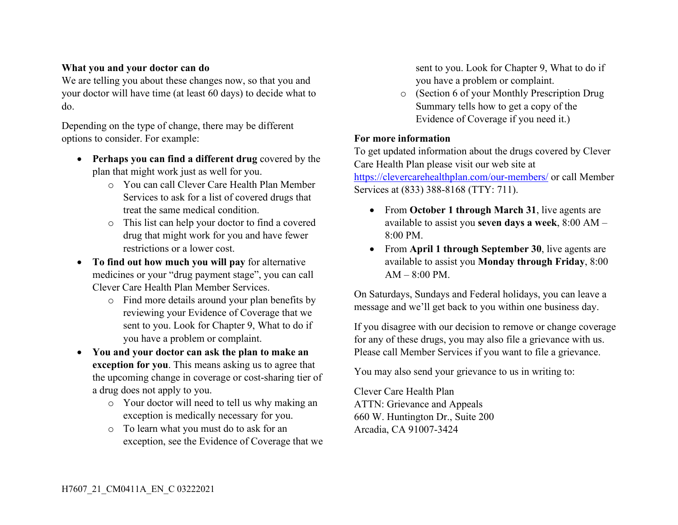## **What you and your doctor can do**

We are telling you about these changes now, so that you and your doctor will have time (at least 60 days) to decide what to do.

Depending on the type of change, there may be different options to consider. For example:

- **Perhaps you can find a different drug** covered by the plan that might work just as well for you.
	- o You can call Clever Care Health Plan Member Services to ask for a list of covered drugs that treat the same medical condition.
	- o This list can help your doctor to find a covered drug that might work for you and have fewer restrictions or a lower cost.
- **To find out how much you will pay** for alternative medicines or your "drug payment stage", you can call Clever Care Health Plan Member Services.
	- o Find more details around your plan benefits by reviewing your Evidence of Coverage that we sent to you. Look for Chapter 9, What to do if you have a problem or complaint.
- **You and your doctor can ask the plan to make an exception for you**. This means asking us to agree that the upcoming change in coverage or cost-sharing tier of a drug does not apply to you.
	- o Your doctor will need to tell us why making an exception is medically necessary for you.
	- o To learn what you must do to ask for an exception, see the Evidence of Coverage that we

sent to you. Look for Chapter 9, What to do if you have a problem or complaint.

o (Section 6 of your Monthly Prescription Drug Summary tells how to get a copy of the Evidence of Coverage if you need it.)

## **For more information**

To get updated information about the drugs covered by Clever Care Health Plan please visit our web site at

<https://clevercarehealthplan.com/our-members/> or call Member Services at (833) 388-8168 (TTY: 711).

- From **October 1 through March 31**, live agents are available to assist you **seven days a week**, 8:00 AM – 8:00 PM.
- From **April 1 through September 30**, live agents are available to assist you **Monday through Friday**, 8:00  $AM = 8:00 \text{ PM}$ .

On Saturdays, Sundays and Federal holidays, you can leave a message and we'll get back to you within one business day.

If you disagree with our decision to remove or change coverage for any of these drugs, you may also file a grievance with us. Please call Member Services if you want to file a grievance.

You may also send your grievance to us in writing to:

Clever Care Health Plan ATTN: Grievance and Appeals 660 W. Huntington Dr., Suite 200 Arcadia, CA 91007-3424